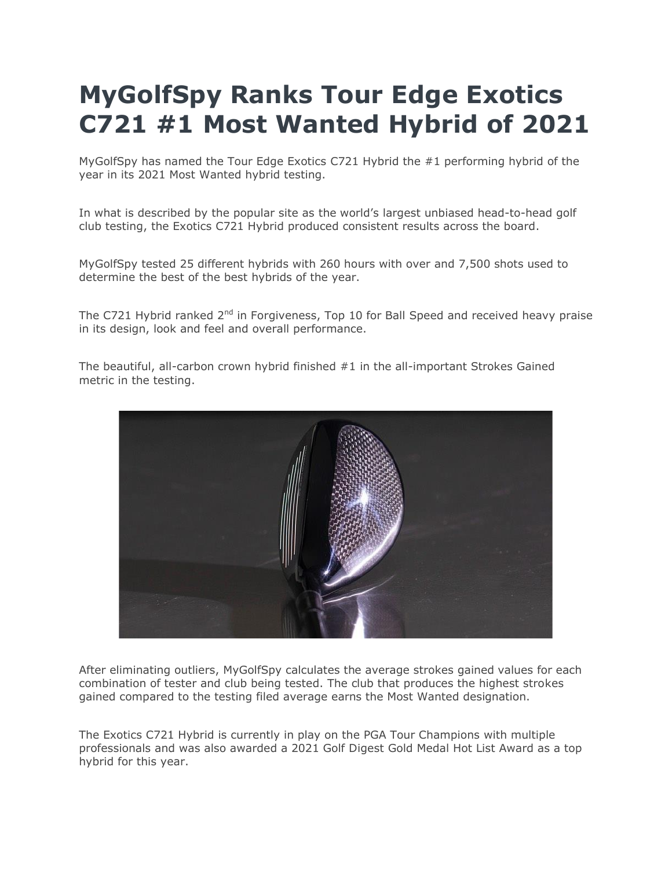## **MyGolfSpy Ranks Tour Edge Exotics C721 #1 Most Wanted Hybrid of 2021**

MyGolfSpy has named the Tour Edge Exotics C721 Hybrid the #1 performing hybrid of the year in its 2021 Most Wanted hybrid testing.

In what is described by the popular site as the world's largest unbiased head-to-head golf club testing, the Exotics C721 Hybrid produced consistent results across the board.

MyGolfSpy tested 25 different hybrids with 260 hours with over and 7,500 shots used to determine the best of the best hybrids of the year.

The C721 Hybrid ranked 2<sup>nd</sup> in Forgiveness, Top 10 for Ball Speed and received heavy praise in its design, look and feel and overall performance.

The beautiful, all-carbon crown hybrid finished #1 in the all-important Strokes Gained metric in the testing.



After eliminating outliers, MyGolfSpy calculates the average strokes gained values for each combination of tester and club being tested. The club that produces the highest strokes gained compared to the testing filed average earns the Most Wanted designation.

The Exotics C721 Hybrid is currently in play on the PGA Tour Champions with multiple professionals and was also awarded a 2021 Golf Digest Gold Medal Hot List Award as a top hybrid for this year.